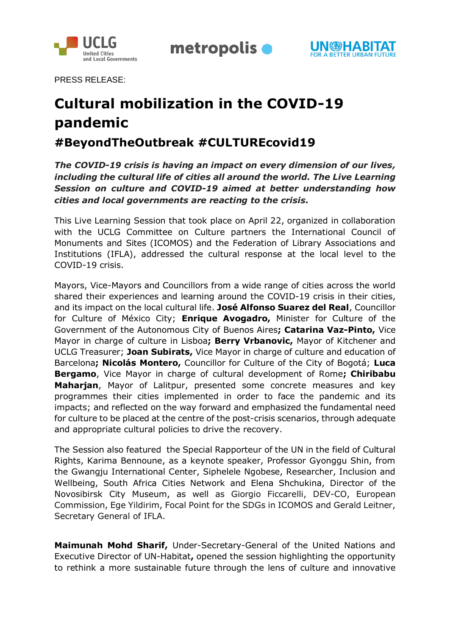

metropolis •



PRESS RELEASE:

# **Cultural mobilization in the COVID-19 pandemic**

# **#BeyondTheOutbreak #CULTUREcovid19**

*The COVID-19 crisis is having an impact on every dimension of our lives, including the cultural life of cities all around the world. The Live Learning Session on culture and COVID-19 aimed at better understanding how cities and local governments are reacting to the crisis.*

This Live Learning Session that took place on April 22, organized in collaboration with the UCLG Committee on Culture partners the International Council of Monuments and Sites (ICOMOS) and the Federation of Library Associations and Institutions (IFLA), addressed the cultural response at the local level to the COVID-19 crisis.

Mayors, Vice-Mayors and Councillors from a wide range of cities across the world shared their experiences and learning around the COVID-19 crisis in their cities, and its impact on the local cultural life. **José Alfonso Suarez del Real**, Councillor for Culture of México City; **Enrique Avogadro,** Minister for Culture of the Government of the Autonomous City of Buenos Aires**; Catarina Vaz-Pinto,** Vice Mayor in charge of culture in Lisboa**; Berry Vrbanovic,** Mayor of Kitchener and UCLG Treasurer; **Joan Subirats,** Vice Mayor in charge of culture and education of Barcelona**; Nicolás Montero,** Councillor for Culture of the City of Bogotá; **Luca Bergamo**, Vice Mayor in charge of cultural development of Rome**; Chiribabu Maharjan**, Mayor of Lalitpur, presented some concrete measures and key programmes their cities implemented in order to face the pandemic and its impacts; and reflected on the way forward and emphasized the fundamental need for culture to be placed at the centre of the post-crisis scenarios, through adequate and appropriate cultural policies to drive the recovery.

The Session also featured the Special Rapporteur of the UN in the field of Cultural Rights, Karima Bennoune, as a keynote speaker, Professor Gyonggu Shin, from the Gwangju International Center, Siphelele Ngobese, Researcher, Inclusion and Wellbeing, South Africa Cities Network and Elena Shchukina, Director of the Novosibirsk City Museum, as well as Giorgio Ficcarelli, DEV-CO, European Commission, Ege Yildirim, Focal Point for the SDGs in ICOMOS and Gerald Leitner, Secretary General of IFLA.

**Maimunah Mohd Sharif,** Under-Secretary-General of the United Nations and Executive Director of UN-Habitat**,** opened the session highlighting the opportunity to rethink a more sustainable future through the lens of culture and innovative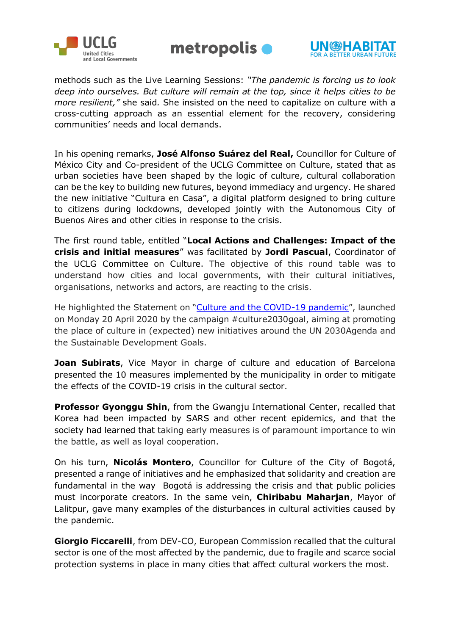





methods such as the Live Learning Sessions: *"The pandemic is forcing us to look deep into ourselves. But culture will remain at the top, since it helps cities to be more resilient,"* she said*.* She insisted on the need to capitalize on culture with a cross-cutting approach as an essential element for the recovery, considering communities' needs and local demands.

In his opening remarks, **José Alfonso Suárez del Real,** Councillor for Culture of México City and Co-president of the UCLG Committee on Culture, stated that as urban societies have been shaped by the logic of culture, cultural collaboration can be the key to building new futures, beyond immediacy and urgency. He shared the new initiative "Cultura en Casa", a digital platform designed to bring culture to citizens during lockdowns, developed jointly with the Autonomous City of Buenos Aires and other cities in response to the crisis.

The first round table, entitled "**Local Actions and Challenges: Impact of the crisis and initial measures**" was facilitated by **Jordi Pascual**, Coordinator of the UCLG Committee on Culture. The objective of this round table was to understand how cities and local governments, with their cultural initiatives, organisations, networks and actors, are reacting to the crisis.

He highlighted the Statement on "[Culture and the COVID-19 pandemic](http://www.agenda21culture.net/advocacy/culture-2030-goal)", launched on Monday 20 April 2020 by the campaign #culture2030goal, aiming at promoting the place of culture in (expected) new initiatives around the UN 2030Agenda and the Sustainable Development Goals.

**Joan Subirats**, Vice Mayor in charge of culture and education of Barcelona presented the 10 measures implemented by the municipality in order to mitigate the effects of the COVID-19 crisis in the cultural sector.

**Professor Gyonggu Shin**, from the Gwangju International Center, recalled that Korea had been impacted by SARS and other recent epidemics, and that the society had learned that taking early measures is of paramount importance to win the battle, as well as loyal cooperation.

On his turn, **Nicolás Montero**, Councillor for Culture of the City of Bogotá, presented a range of initiatives and he emphasized that solidarity and creation are fundamental in the way Bogotá is addressing the crisis and that public policies must incorporate creators. In the same vein, **Chiribabu Maharjan**, Mayor of Lalitpur, gave many examples of the disturbances in cultural activities caused by the pandemic.

**Giorgio Ficcarelli**, from DEV-CO, European Commission recalled that the cultural sector is one of the most affected by the pandemic, due to fragile and scarce social protection systems in place in many cities that affect cultural workers the most.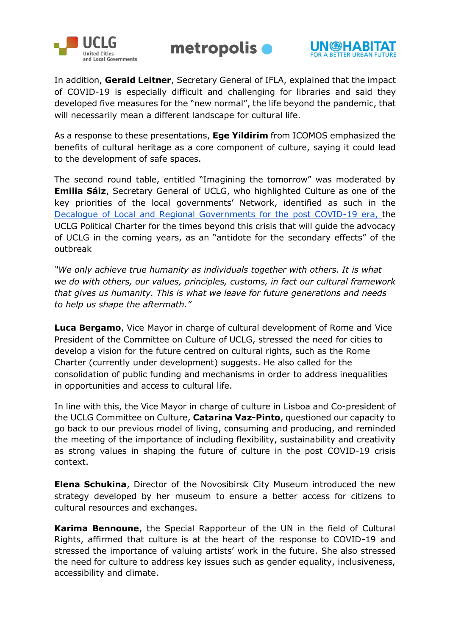





In addition, **Gerald Leitner**, Secretary General of IFLA, explained that the impact of COVID-19 is especially difficult and challenging for libraries and said they developed five measures for the "new normal", the life beyond the pandemic, that will necessarily mean a different landscape for cultural life.

As a response to these presentations, **Ege Yildirim** from ICOMOS emphasized the benefits of cultural heritage as a core component of culture, saying it could lead to the development of safe spaces.

The second round table, entitled "Imagining the tomorrow" was moderated by **Emilia Sáiz**, Secretary General of UCLG, who highlighted Culture as one of the key priorities of the local governments' Network, identified as such in the [Decalogue of Local and Regional Governments for the post COVID-19 era,](https://www.uclg.org/sites/default/files/decalogue_for_the_post_covid-19_era.pdf) the UCLG Political Charter for the times beyond this crisis that will guide the advocacy of UCLG in the coming years, as an "antidote for the secondary effects" of the outbreak

*"We only achieve true humanity as individuals together with others. It is what we do with others, our values, principles, customs, in fact our cultural framework that gives us humanity. This is what we leave for future generations and needs to help us shape the aftermath."*

**Luca Bergamo**, Vice Mayor in charge of cultural development of Rome and Vice President of the Committee on Culture of UCLG, stressed the need for cities to develop a vision for the future centred on cultural rights, such as the Rome Charter (currently under development) suggests. He also called for the consolidation of public funding and mechanisms in order to address inequalities in opportunities and access to cultural life.

In line with this, the Vice Mayor in charge of culture in Lisboa and Co-president of the UCLG Committee on Culture, **Catarina Vaz-Pinto**, questioned our capacity to go back to our previous model of living, consuming and producing, and reminded the meeting of the importance of including flexibility, sustainability and creativity as strong values in shaping the future of culture in the post COVID-19 crisis context.

**Elena Schukina**, Director of the Novosibirsk City Museum introduced the new strategy developed by her museum to ensure a better access for citizens to cultural resources and exchanges.

**Karima Bennoune**, the Special Rapporteur of the UN in the field of Cultural Rights, affirmed that culture is at the heart of the response to COVID-19 and stressed the importance of valuing artists' work in the future. She also stressed the need for culture to address key issues such as gender equality, inclusiveness, accessibility and climate.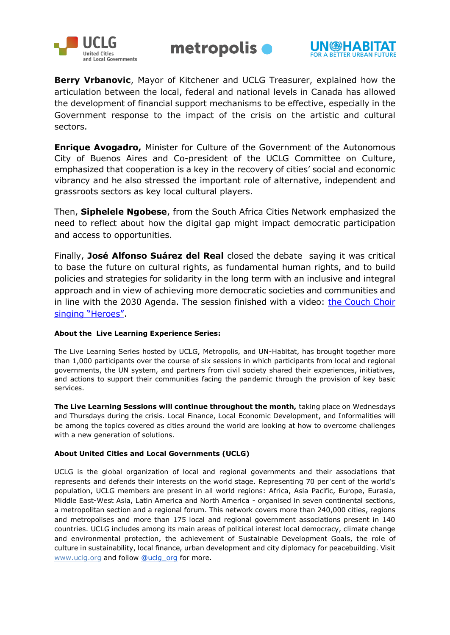





**Berry Vrbanovic**, Mayor of Kitchener and UCLG Treasurer, explained how the articulation between the local, federal and national levels in Canada has allowed the development of financial support mechanisms to be effective, especially in the Government response to the impact of the crisis on the artistic and cultural sectors.

**Enrique Avogadro,** Minister for Culture of the Government of the Autonomous City of Buenos Aires and Co-president of the UCLG Committee on Culture, emphasized that cooperation is a key in the recovery of cities' social and economic vibrancy and he also stressed the important role of alternative, independent and grassroots sectors as key local cultural players.

Then, **Siphelele Ngobese**, from the South Africa Cities Network emphasized the need to reflect about how the digital gap might impact democratic participation and access to opportunities.

Finally, **José Alfonso Suárez del Real** closed the debate saying it was critical to base the future on cultural rights, as fundamental human rights, and to build policies and strategies for solidarity in the long term with an inclusive and integral approach and in view of achieving more democratic societies and communities and in line with the 2030 Agenda. The session finished with a video: [the Couch Choir](https://www.youtube.com/watch?v=DO0kAtg9dRw&feature=share)  [singing "Heroes"](https://www.youtube.com/watch?v=DO0kAtg9dRw&feature=share).

### **About the Live Learning Experience Series:**

The Live Learning Series hosted by UCLG, Metropolis, and UN-Habitat, has brought together more than 1,000 participants over the course of six sessions in which participants from local and regional governments, the UN system, and partners from civil society shared their experiences, initiatives, and actions to support their communities facing the pandemic through the provision of key basic services.

**The Live Learning Sessions will continue throughout the month,** taking place on Wednesdays and Thursdays during the crisis. Local Finance, Local Economic Development, and Informalities will be among the topics covered as cities around the world are looking at how to overcome challenges with a new generation of solutions.

## **About United Cities and Local Governments (UCLG)**

UCLG is the global organization of local and regional governments and their associations that represents and defends their interests on the world stage. Representing 70 per cent of the world's population, UCLG members are present in all world regions: Africa, Asia Pacific, Europe, Eurasia, Middle East-West Asia, Latin America and North America - organised in seven continental sections, a metropolitan section and a regional forum. This network covers more than 240,000 cities, regions and metropolises and more than 175 local and regional government associations present in 140 countries. UCLG includes among its main areas of political interest local democracy, climate change and environmental protection, the achievement of Sustainable Development Goals, the role of culture in sustainability, local finance, urban development and city diplomacy for peacebuilding. Visi[t](http://www.uclg.org/) [www.uclg.org](http://www.uclg.org/) and follo[w](https://twitter.com/uclg_org) [@uclg\\_org](https://twitter.com/uclg_org) for more.